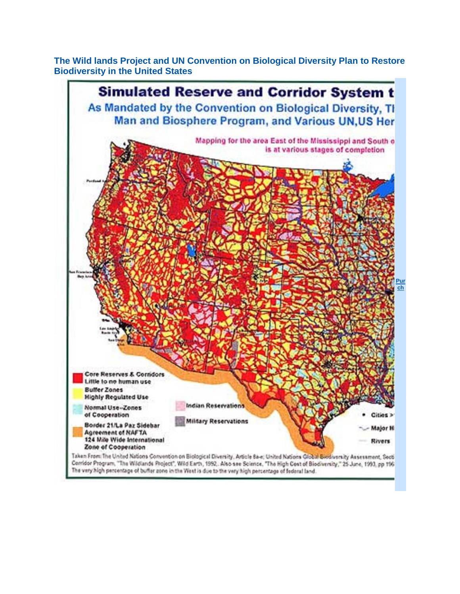The Wild lands Project and UN Convention on Biological Diversity Plan to Restore **Biodiversity in the United States** 



Contidor Program, "The Wildlands Project", Wild Earth, 1992, Also see Science, "The High Cost of Biodiversity," 25 June, 1993, pp 196 The very high percentage of buffer zone in the West is due to the very high percentage of federal land.